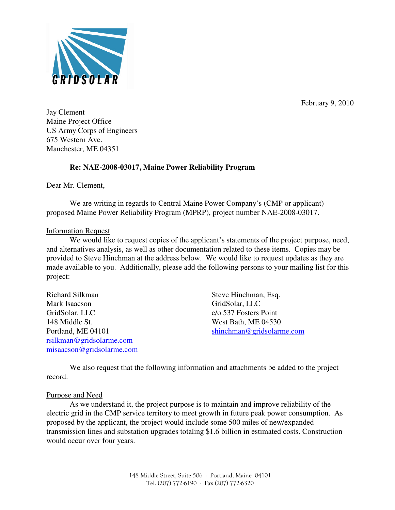

February 9, 2010

Jay Clement Maine Project Office US Army Corps of Engineers 675 Western Ave. Manchester, ME 04351

# **Re: NAE-2008-03017, Maine Power Reliability Program**

Dear Mr. Clement,

 We are writing in regards to Central Maine Power Company's (CMP or applicant) proposed Maine Power Reliability Program (MPRP), project number NAE-2008-03017.

## Information Request

We would like to request copies of the applicant's statements of the project purpose, need, and alternatives analysis, as well as other documentation related to these items. Copies may be provided to Steve Hinchman at the address below. We would like to request updates as they are made available to you. Additionally, please add the following persons to your mailing list for this project:

| Richard Silkman               | Steve Hinchman, Esq.      |
|-------------------------------|---------------------------|
| Mark Isaacson                 | GridSolar, LLC            |
| GridSolar, LLC                | c/o 537 Fosters Point     |
| 148 Middle St.                | West Bath, ME 04530       |
| Portland, ME 04101            | shinchman@gridsolarme.com |
| $r\sin k$ man@gridsolarme.com |                           |
| misaacson@gridsolarme.com     |                           |

 We also request that the following information and attachments be added to the project record.

## Purpose and Need

 As we understand it, the project purpose is to maintain and improve reliability of the electric grid in the CMP service territory to meet growth in future peak power consumption. As proposed by the applicant, the project would include some 500 miles of new/expanded transmission lines and substation upgrades totaling \$1.6 billion in estimated costs. Construction would occur over four years.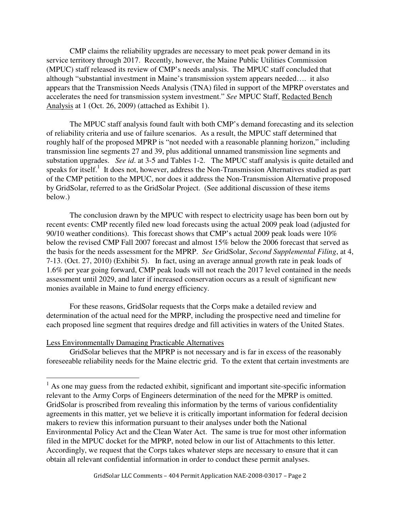CMP claims the reliability upgrades are necessary to meet peak power demand in its service territory through 2017. Recently, however, the Maine Public Utilities Commission (MPUC) staff released its review of CMP's needs analysis. The MPUC staff concluded that although "substantial investment in Maine's transmission system appears needed…. it also appears that the Transmission Needs Analysis (TNA) filed in support of the MPRP overstates and accelerates the need for transmission system investment." *See* MPUC Staff, Redacted Bench Analysis at 1 (Oct. 26, 2009) (attached as Exhibit 1).

 The MPUC staff analysis found fault with both CMP's demand forecasting and its selection of reliability criteria and use of failure scenarios. As a result, the MPUC staff determined that roughly half of the proposed MPRP is "not needed with a reasonable planning horizon," including transmission line segments 27 and 39, plus additional unnamed transmission line segments and substation upgrades. *See id*. at 3-5 and Tables 1-2. The MPUC staff analysis is quite detailed and speaks for itself.<sup>1</sup> It does not, however, address the Non-Transmission Alternatives studied as part of the CMP petition to the MPUC, nor does it address the Non-Transmission Alternative proposed by GridSolar, referred to as the GridSolar Project. (See additional discussion of these items below.)

 The conclusion drawn by the MPUC with respect to electricity usage has been born out by recent events: CMP recently filed new load forecasts using the actual 2009 peak load (adjusted for 90/10 weather conditions). This forecast shows that CMP's actual 2009 peak loads were 10% below the revised CMP Fall 2007 forecast and almost 15% below the 2006 forecast that served as the basis for the needs assessment for the MPRP. *See* GridSolar, *Second Supplemental Filing*, at 4, 7-13. (Oct. 27, 2010) (Exhibit 5). In fact, using an average annual growth rate in peak loads of 1.6% per year going forward, CMP peak loads will not reach the 2017 level contained in the needs assessment until 2029, and later if increased conservation occurs as a result of significant new monies available in Maine to fund energy efficiency.

 For these reasons, GridSolar requests that the Corps make a detailed review and determination of the actual need for the MPRP, including the prospective need and timeline for each proposed line segment that requires dredge and fill activities in waters of the United States.

## Less Environmentally Damaging Practicable Alternatives

 $\overline{a}$ 

 GridSolar believes that the MPRP is not necessary and is far in excess of the reasonably foreseeable reliability needs for the Maine electric grid. To the extent that certain investments are

<sup>&</sup>lt;sup>1</sup> As one may guess from the redacted exhibit, significant and important site-specific information relevant to the Army Corps of Engineers determination of the need for the MPRP is omitted. GridSolar is proscribed from revealing this information by the terms of various confidentiality agreements in this matter, yet we believe it is critically important information for federal decision makers to review this information pursuant to their analyses under both the National Environmental Policy Act and the Clean Water Act. The same is true for most other information filed in the MPUC docket for the MPRP, noted below in our list of Attachments to this letter. Accordingly, we request that the Corps takes whatever steps are necessary to ensure that it can obtain all relevant confidential information in order to conduct these permit analyses.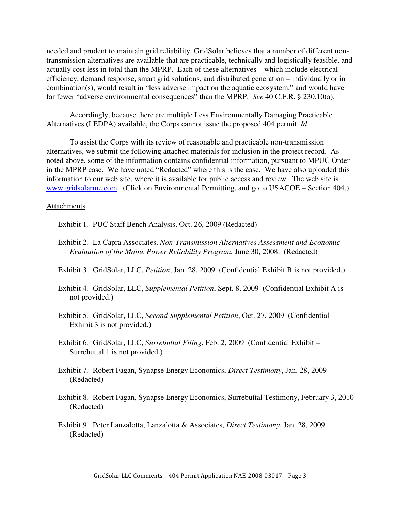needed and prudent to maintain grid reliability, GridSolar believes that a number of different nontransmission alternatives are available that are practicable, technically and logistically feasible, and actually cost less in total than the MPRP. Each of these alternatives – which include electrical efficiency, demand response, smart grid solutions, and distributed generation – individually or in combination(s), would result in "less adverse impact on the aquatic ecosystem," and would have far fewer "adverse environmental consequences" than the MPRP. *See* 40 C.F.R. § 230.10(a).

 Accordingly, because there are multiple Less Environmentally Damaging Practicable Alternatives (LEDPA) available, the Corps cannot issue the proposed 404 permit. *Id*.

 To assist the Corps with its review of reasonable and practicable non-transmission alternatives, we submit the following attached materials for inclusion in the project record. As noted above, some of the information contains confidential information, pursuant to MPUC Order in the MPRP case. We have noted "Redacted" where this is the case. We have also uploaded this information to our web site, where it is available for public access and review. The web site is www.gridsolarme.com. (Click on Environmental Permitting, and go to USACOE – Section 404.)

### Attachments

Exhibit 1. PUC Staff Bench Analysis, Oct. 26, 2009 (Redacted)

- Exhibit 2. La Capra Associates, *Non-Transmission Alternatives Assessment and Economic Evaluation of the Maine Power Reliability Program*, June 30, 2008. (Redacted)
- Exhibit 3. GridSolar, LLC, *Petition*, Jan. 28, 2009 (Confidential Exhibit B is not provided.)
- Exhibit 4. GridSolar, LLC, *Supplemental Petition*, Sept. 8, 2009 (Confidential Exhibit A is not provided.)
- Exhibit 5. GridSolar, LLC, *Second Supplemental Petition*, Oct. 27, 2009 (Confidential Exhibit 3 is not provided.)
- Exhibit 6. GridSolar, LLC, *Surrebuttal Filing*, Feb. 2, 2009 (Confidential Exhibit Surrebuttal 1 is not provided.)
- Exhibit 7. Robert Fagan, Synapse Energy Economics, *Direct Testimony*, Jan. 28, 2009 (Redacted)
- Exhibit 8. Robert Fagan, Synapse Energy Economics, Surrebuttal Testimony, February 3, 2010 (Redacted)
- Exhibit 9. Peter Lanzalotta, Lanzalotta & Associates, *Direct Testimony*, Jan. 28, 2009 (Redacted)